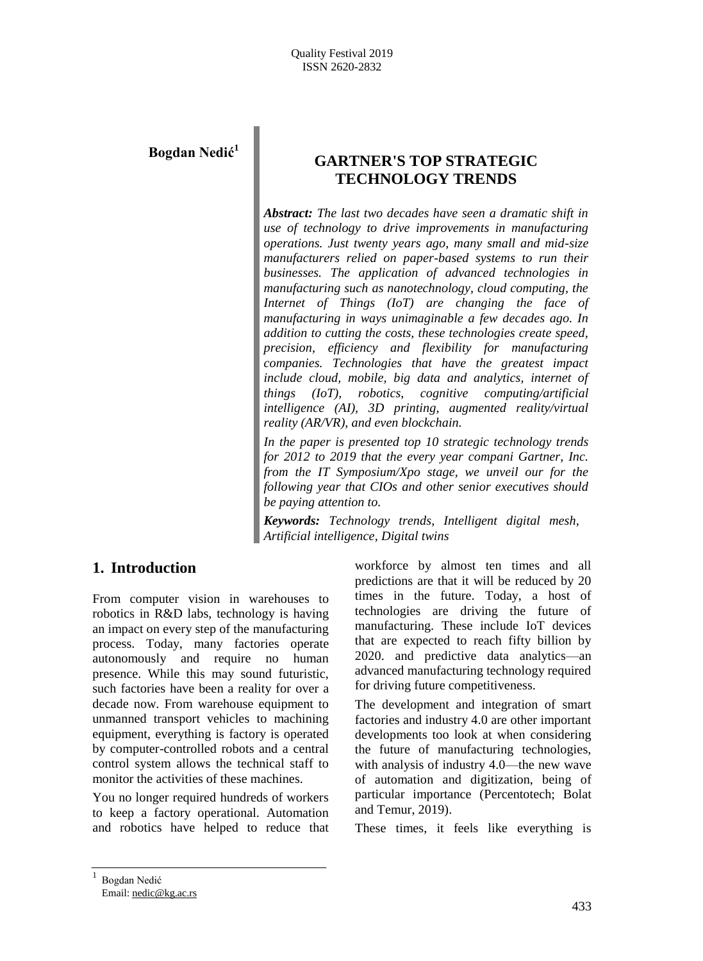# **Bogdan Nedić<sup>1</sup>**

# **GARTNER'S TOP STRATEGIC TECHNOLOGY TRENDS**

*Abstract: The last two decades have seen a dramatic shift in use of technology to drive improvements in manufacturing operations. Just twenty years ago, many small and mid-size manufacturers relied on paper-based systems to run their businesses. The application of advanced technologies in manufacturing such as nanotechnology, cloud computing, the Internet of Things (IoT) are changing the face of manufacturing in ways unimaginable a few decades ago. In addition to cutting the costs, these technologies create speed, precision, efficiency and flexibility for manufacturing companies. Technologies that have the greatest impact include cloud, mobile, big data and analytics, internet of things (IoT), robotics, cognitive computing/artificial intelligence (AI), 3D printing, augmented reality/virtual reality (AR/VR), and even blockchain.*

*In the paper is presented top 10 strategic technology trends for 2012 to 2019 that the every year compani Gartner, Inc. from the IT Symposium/Xpo stage, we unveil our for the following year that CIOs and other senior executives should be paying attention to.*

*Keywords: Technology trends, Intelligent digital mesh, Artificial intelligence, Digital twins*

# **1. Introduction**

From computer vision in warehouses to robotics in R&D labs, technology is having an impact on every step of the manufacturing process. Today, many factories operate autonomously and require no human presence. While this may sound futuristic, such factories have been a reality for over a decade now. From warehouse equipment to unmanned transport vehicles to machining equipment, everything is factory is operated by computer-controlled robots and a central control system allows the technical staff to monitor the activities of these machines.

You no longer required hundreds of workers to keep a factory operational. Automation and robotics have helped to reduce that

workforce by almost ten times and all predictions are that it will be reduced by 20 times in the future. Today, a host of technologies are driving the future of manufacturing. These include IoT devices that are expected to reach fifty billion by 2020. and predictive data analytics—an advanced manufacturing technology required for driving future competitiveness.

The development and integration of smart factories and industry 4.0 are other important developments too look at when considering the future of manufacturing technologies, with analysis of industry 4.0—the new wave of automation and digitization, being of particular importance (Percentotech; Bolat and Temur, 2019).

These times, it feels like everything is

1 Bogdan Nedić Email: nedic@kg.ac.rs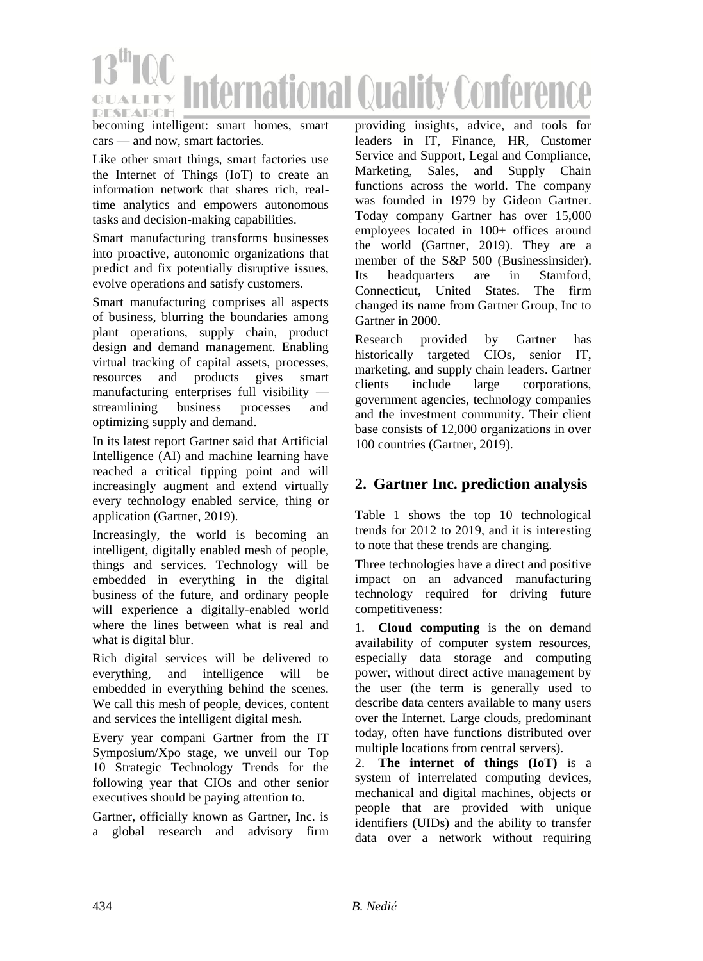

becoming intelligent: smart homes, smart cars — and now, smart factories.

Like other smart things, smart factories use the Internet of Things (IoT) to create an information network that shares rich, realtime analytics and empowers autonomous tasks and decision-making capabilities.

Smart manufacturing transforms businesses into proactive, autonomic organizations that predict and fix potentially disruptive issues, evolve operations and satisfy customers.

Smart manufacturing comprises all aspects of business, blurring the boundaries among plant operations, supply chain, product design and demand management. Enabling virtual tracking of capital assets, processes, resources and products gives smart manufacturing enterprises full visibility streamlining business processes and optimizing supply and demand.

In its latest report Gartner said that Artificial Intelligence (AI) and machine learning have reached a critical tipping point and will increasingly augment and extend virtually every technology enabled service, thing or application (Gartner, 2019).

Increasingly, the world is becoming an intelligent, digitally enabled mesh of people, things and services. Technology will be embedded in everything in the digital business of the future, and ordinary people will experience a digitally-enabled world where the lines between what is real and what is digital blur.

Rich digital services will be delivered to everything, and intelligence will be embedded in everything behind the scenes. We call this mesh of people, devices, content and services the intelligent digital mesh.

Every year compani Gartner from the IT Symposium/Xpo stage, we unveil our Top 10 Strategic Technology Trends for the following year that CIOs and other senior executives should be paying attention to.

Gartner, officially known as Gartner, Inc. is a global research and advisory firm

providing insights, advice, and tools for leaders in IT, Finance, HR, Customer Service and Support, Legal and Compliance, Marketing, Sales, and Supply Chain functions across the world. The company was founded in 1979 by Gideon Gartner. Today company Gartner has over 15,000 employees located in 100+ offices around the world (Gartner, 2019). They are a member of the S&P 500 (Businessinsider). Its headquarters are in Stamford, Connecticut, United States. The firm changed its name from Gartner Group, Inc to Gartner in 2000.

Research provided by Gartner has historically targeted CIOs, senior IT, marketing, and supply chain leaders. Gartner clients include large corporations, government agencies, technology companies and the investment community. Their client base consists of 12,000 organizations in over 100 countries (Gartner, 2019).

# **2. Gartner Inc. prediction analysis**

Table 1 shows the top 10 technological trends for 2012 to 2019, and it is interesting to note that these trends are changing.

Three technologies have a direct and positive impact on an advanced manufacturing technology required for driving future competitiveness:

1. **Cloud computing** is the on demand availability of computer system resources, especially data storage and computing power, without direct active management by the user (the term is generally used to describe data centers available to many users over the Internet. Large clouds, predominant today, often have functions distributed over multiple locations from central servers).

2. **The internet of things (IoT)** is a system of interrelated computing devices, mechanical and digital machines, objects or people that are provided with unique identifiers (UIDs) and the ability to transfer data over a network without requiring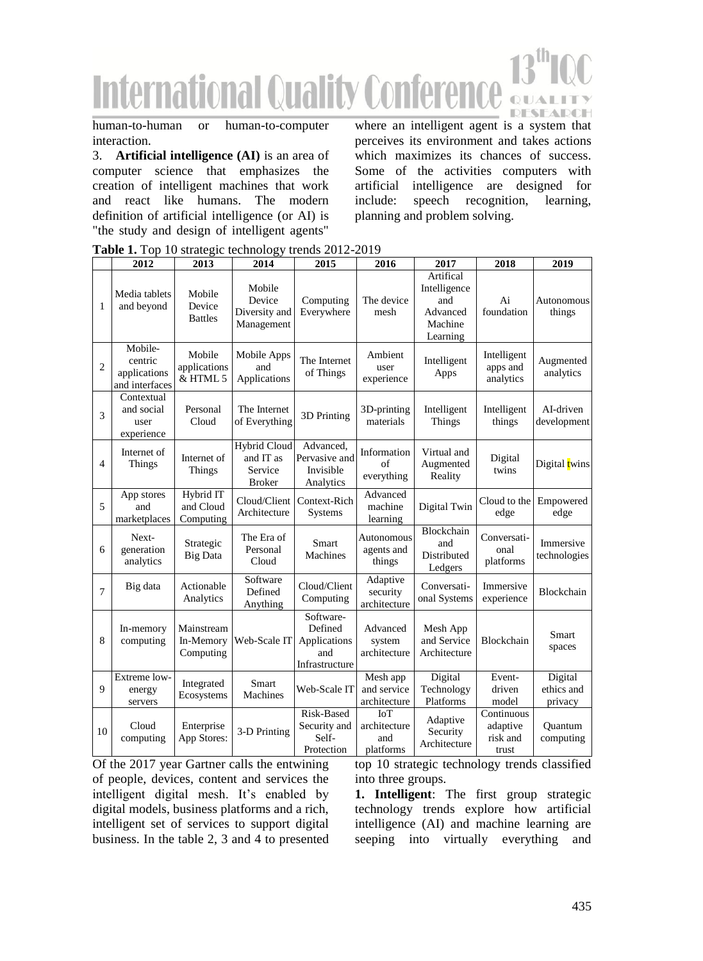# **International Quality Conferer OUAL DESEADCH**

human-to-human or human-to-computer interaction.

3. **Artificial intelligence (AI)** is an area of computer science that emphasizes the creation of intelligent machines that work and react like humans. The modern definition of artificial intelligence (or AI) is "the study and design of intelligent agents"

where an intelligent agent is a system that perceives its environment and takes actions which maximizes its chances of success. Some of the activities computers with artificial intelligence are designed for include: speech recognition, learning, planning and problem solving.

|                | 2012                                                 | 2013                                 | 2014                                                         | 2015                                                          | 2016                                    | 2017                                                                | 2018                                        | 2019                             |
|----------------|------------------------------------------------------|--------------------------------------|--------------------------------------------------------------|---------------------------------------------------------------|-----------------------------------------|---------------------------------------------------------------------|---------------------------------------------|----------------------------------|
| 1              | Media tablets<br>and beyond                          | Mobile<br>Device<br><b>Battles</b>   | Mobile<br>Device<br>Diversity and<br>Management              | Computing<br>Everywhere                                       | The device<br>mesh                      | Artifical<br>Intelligence<br>and<br>Advanced<br>Machine<br>Learning | Ai<br>foundation                            | Autonomous<br>things             |
| $\overline{c}$ | Mobile-<br>centric<br>applications<br>and interfaces | Mobile<br>applications<br>& HTML 5   | Mobile Apps<br>and<br>Applications                           | The Internet<br>of Things                                     | Ambient<br>user<br>experience           | Intelligent<br>Apps                                                 | Intelligent<br>apps and<br>analytics        | Augmented<br>analytics           |
| 3              | Contextual<br>and social<br>user<br>experience       | Personal<br>Cloud                    | The Internet<br>of Everything                                | 3D Printing                                                   | 3D-printing<br>materials                | Intelligent<br>Things                                               | Intelligent<br>things                       | AI-driven<br>development         |
| $\overline{4}$ | Internet of<br>Things                                | Internet of<br>Things                | <b>Hybrid Cloud</b><br>and IT as<br>Service<br><b>Broker</b> | Advanced.<br>Pervasive and<br>Invisible<br>Analytics          | Information<br>of<br>everything         | Virtual and<br>Augmented<br>Reality                                 | Digital<br>twins                            | Digital twins                    |
| 5              | App stores<br>and<br>marketplaces                    | Hybrid IT<br>and Cloud<br>Computing  | Cloud/Client<br>Architecture                                 | Context-Rich<br><b>Systems</b>                                | Advanced<br>machine<br>learning         | Digital Twin                                                        | Cloud to the<br>edge                        | Empowered<br>edge                |
| 6              | Next-<br>generation<br>analytics                     | Strategic<br><b>Big Data</b>         | The Era of<br>Personal<br>Cloud                              | Smart<br>Machines                                             | Autonomous<br>agents and<br>things      | Blockchain<br>and<br>Distributed<br>Ledgers                         | Conversati-<br>onal<br>platforms            | Immersive<br>technologies        |
| $\overline{7}$ | Big data                                             | Actionable<br>Analytics              | Software<br>Defined<br>Anything                              | Cloud/Client<br>Computing                                     | Adaptive<br>security<br>architecture    | Conversati-<br>onal Systems                                         | Immersive<br>experience                     | Blockchain                       |
| 8              | In-memory<br>computing                               | Mainstream<br>In-Memory<br>Computing | Web-Scale IT                                                 | Software-<br>Defined<br>Applications<br>and<br>Infrastructure | Advanced<br>system<br>architecture      | Mesh App<br>and Service<br>Architecture                             | <b>Blockchain</b>                           | Smart<br>spaces                  |
| 9              | Extreme low-<br>energy<br>servers                    | Integrated<br>Ecosystems             | Smart<br>Machines                                            | Web-Scale IT                                                  | Mesh app<br>and service<br>architecture | Digital<br>Technology<br>Platforms                                  | Event-<br>driven<br>model                   | Digital<br>ethics and<br>privacy |
| 10             | Cloud<br>computing                                   | Enterprise<br>App Stores:            | 3-D Printing                                                 | Risk-Based<br>Security and<br>Self-<br>Protection             | IoT<br>architecture<br>and<br>platforms | Adaptive<br>Security<br>Architecture                                | Continuous<br>adaptive<br>risk and<br>trust | Ouantum<br>computing             |

**Table 1.** Top 10 strategic technology trends 2012-2019

Of the 2017 year Gartner calls the entwining of people, devices, content and services the intelligent digital mesh. It's enabled by digital models, business platforms and a rich, intelligent set of services to support digital business. In the table 2, 3 and 4 to presented

top 10 strategic technology trends classified into three groups.

**1. Intelligent**: The first group strategic technology trends explore how artificial intelligence (AI) and machine learning are seeping into virtually everything and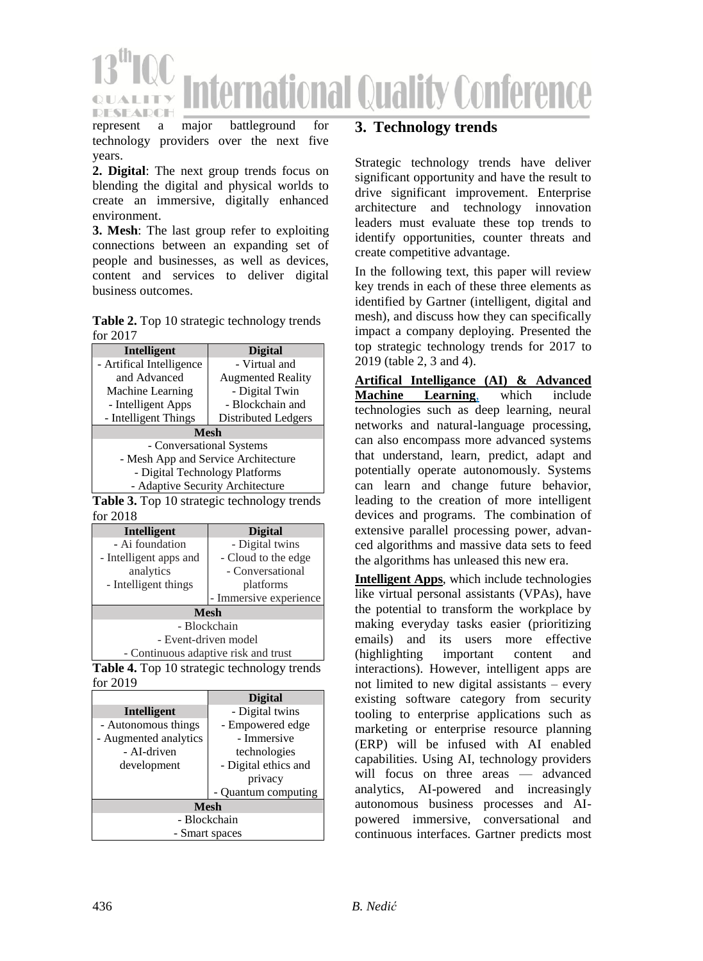

represent a major battleground for technology providers over the next five years.

**2. Digital**: The next group trends focus on blending the digital and physical worlds to create an immersive, digitally enhanced environment.

**3. Mesh**: The last group refer to exploiting connections between an expanding set of people and businesses, as well as devices, content and services to deliver digital business outcomes.

**Table 2.** Top 10 strategic technology trends for 2017

| Intelligent                         | <b>Digital</b>           |  |  |  |
|-------------------------------------|--------------------------|--|--|--|
| - Artifical Intelligence            | - Virtual and            |  |  |  |
| and Advanced                        | <b>Augmented Reality</b> |  |  |  |
| Machine Learning                    | - Digital Twin           |  |  |  |
| - Intelligent Apps                  | - Blockchain and         |  |  |  |
| - Intelligent Things                | Distributed Ledgers      |  |  |  |
| <b>Mesh</b>                         |                          |  |  |  |
| - Conversational Systems            |                          |  |  |  |
| - Mesh App and Service Architecture |                          |  |  |  |
| - Digital Technology Platforms      |                          |  |  |  |
| - Adaptive Security Architecture    |                          |  |  |  |
| $2.77 \pm 10.4$ and $1.7 \pm 1.7$   |                          |  |  |  |

**Table 3.** Top 10 strategic technology trends for 2018

| Intelligent                          | <b>Digital</b>         |  |  |  |
|--------------------------------------|------------------------|--|--|--|
| - Ai foundation                      | - Digital twins        |  |  |  |
| - Intelligent apps and               | - Cloud to the edge    |  |  |  |
| analytics                            | - Conversational       |  |  |  |
| - Intelligent things                 | platforms              |  |  |  |
|                                      | - Immersive experience |  |  |  |
| <b>Mesh</b>                          |                        |  |  |  |
| - Blockchain                         |                        |  |  |  |
| - Event-driven model                 |                        |  |  |  |
| - Continuous adaptive risk and trust |                        |  |  |  |

**Table 4.** Top 10 strategic technology trends for 2019

|                       | <b>Digital</b>           |  |  |  |
|-----------------------|--------------------------|--|--|--|
| Intelligent           | - Digital twins          |  |  |  |
| - Autonomous things   | - Empowered edge         |  |  |  |
| - Augmented analytics | - Immersive              |  |  |  |
| - AI-driven           | technologies             |  |  |  |
| development           | - Digital ethics and     |  |  |  |
|                       | privacy                  |  |  |  |
|                       | <b>Ouantum</b> computing |  |  |  |
| <b>Mesh</b>           |                          |  |  |  |
| - Blockchain          |                          |  |  |  |
| - Smart spaces        |                          |  |  |  |

## **3. Technology trends**

Strategic technology trends have deliver significant opportunity and have the result to drive significant improvement. Enterprise architecture and technology innovation leaders must evaluate these top trends to identify opportunities, counter threats and create competitive advantage.

In the following text, this paper will review key trends in each of these three elements as identified by Gartner (intelligent, digital and mesh), and discuss how they can specifically impact a company deploying. Presented the top strategic technology trends for 2017 to 2019 (table 2, 3 and 4).

**Artifical Intelligance (AI) & Advanced Machine Learning**, which include technologies such as deep learning, neural networks and natural-language processing, can also encompass more advanced systems that understand, learn, predict, adapt and potentially operate autonomously. Systems can learn and change future behavior, leading to the creation of more intelligent devices and programs. The combination of extensive parallel processing power, advanced algorithms and massive data sets to feed the algorithms has unleased this new era.

**Intelligent Apps**, which include technologies like virtual personal assistants (VPAs), have the potential to transform the workplace by making everyday tasks easier (prioritizing emails) and its users more effective (highlighting important content and interactions). However, intelligent apps are not limited to new digital assistants – every existing software category from security tooling to enterprise applications such as marketing or enterprise resource planning (ERP) will be infused with AI enabled capabilities. Using AI, technology providers will focus on three areas — advanced analytics, AI-powered and increasingly autonomous business processes and AIpowered immersive, conversational and continuous interfaces. Gartner predicts most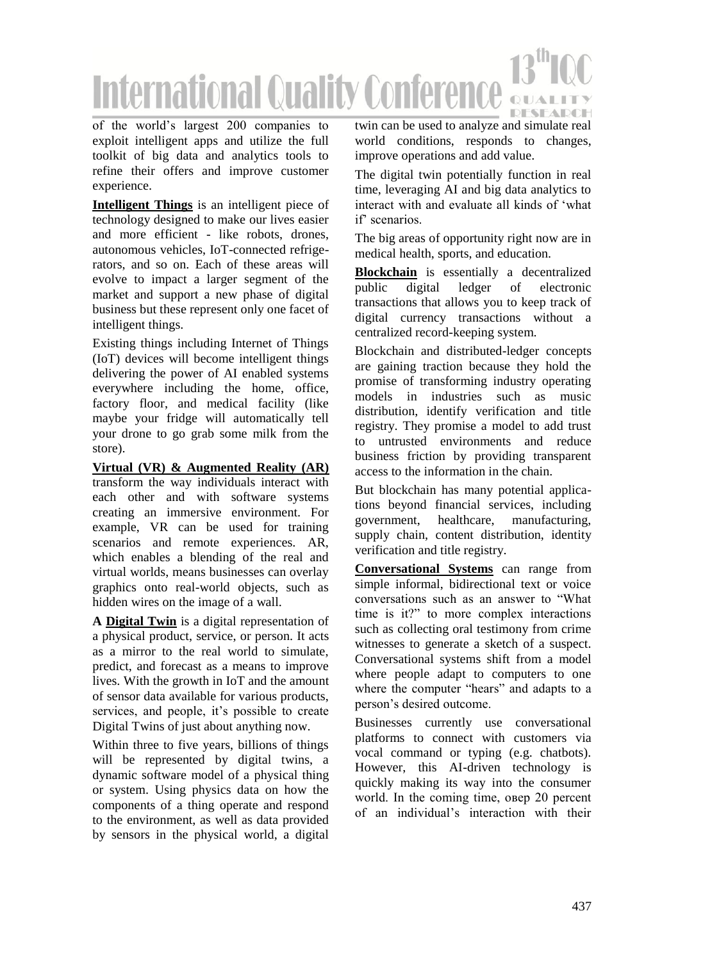

of the world's largest 200 companies to exploit intelligent apps and utilize the full toolkit of big data and analytics tools to refine their offers and improve customer experience.

**Intelligent Things** is an intelligent piece of technology designed to make our lives easier and more efficient - like robots, drones, autonomous vehicles, IoT-connected refrigerators, and so on. Each of these areas will evolve to impact a larger segment of the market and support a new phase of digital business but these represent only one facet of intelligent things.

Existing things including Internet of Things (IoT) devices will become intelligent things delivering the power of AI enabled systems everywhere including the home, office, factory floor, and medical facility (like maybe your fridge will automatically tell your drone to go grab some milk from the store).

**Virtual (VR) & Augmented Reality (AR)** transform the way individuals interact with each other and with software systems creating an immersive environment. For example, VR can be used for training scenarios and remote experiences. AR, which enables a blending of the real and virtual worlds, means businesses can overlay graphics onto real-world objects, such as hidden wires on the image of a wall.

**A Digital Twin** is a digital representation of a physical product, service, or person. It acts as a mirror to the real world to simulate, predict, and forecast as a means to improve lives. With the growth in IoT and the amount of sensor data available for various products, services, and people, it's possible to create Digital Twins of just about anything now.

Within three to five years, billions of things will be represented by digital twins, a dynamic software model of a physical thing or system. Using physics data on how the components of a thing operate and respond to the environment, as well as data provided by sensors in the physical world, a digital twin can be used to analyze and simulate real world conditions, responds to changes, improve operations and add value.

The digital twin potentially function in real time, leveraging AI and big data analytics to interact with and evaluate all kinds of 'what if' scenarios.

The big areas of opportunity right now are in medical health, sports, and education.

**Blockchain** is essentially a decentralized public digital ledger of electronic transactions that allows you to keep track of digital currency transactions without a centralized record-keeping system.

Blockchain and distributed-ledger concepts are gaining traction because they hold the promise of transforming industry operating models in industries such as music distribution, identify verification and title registry. They promise a model to add trust to untrusted environments and reduce business friction by providing transparent access to the information in the chain.

But blockchain has many potential applications beyond financial services, including government, healthcare, manufacturing, supply chain, content distribution, identity verification and title registry.

**Conversational Systems** can range from simple informal, bidirectional text or voice conversations such as an answer to "What time is it?" to more complex interactions such as collecting oral testimony from crime witnesses to generate a sketch of a suspect. Conversational systems shift from a model where people adapt to computers to one where the computer "hears" and adapts to a person's desired outcome.

Businesses currently use conversational platforms to connect with customers via vocal command or typing (e.g. chatbots). However, this AI-driven technology is quickly making its way into the consumer world. In the coming time, овер 20 percent of an individual's interaction with their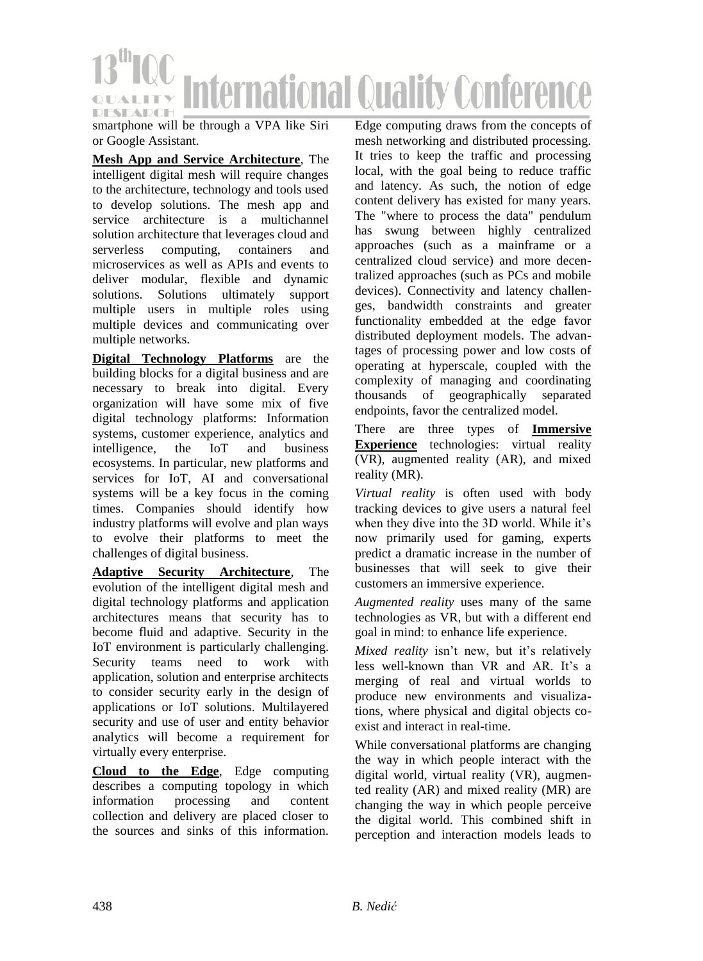

smartphone will be through a VPA like Siri or Google Assistant.

**Mesh App and Service Architecture**, The intelligent digital mesh will require changes to the architecture, technology and tools used to develop solutions. The mesh app and service architecture is a multichannel solution architecture that leverages cloud and serverless computing, containers and microservices as well as APIs and events to deliver modular, flexible and dynamic solutions. Solutions ultimately support multiple users in multiple roles using multiple devices and communicating over multiple networks.

**Digital Technology Platforms** are the building blocks for a digital business and are necessary to break into digital. Every organization will have some mix of five digital technology platforms: Information systems, customer experience, analytics and intelligence, the IoT and business ecosystems. In particular, new platforms and services for IoT, AI and conversational systems will be a key focus in the coming times. Companies should identify how industry platforms will evolve and plan ways to evolve their platforms to meet the challenges of digital business.

**Adaptive Security Architecture**, The evolution of the intelligent digital mesh and digital technology platforms and application architectures means that security has to become fluid and adaptive. Security in the IoT environment is particularly challenging. Security teams need to work with application, solution and enterprise architects to consider security early in the design of applications or IoT solutions. Multilayered security and use of user and entity behavior analytics will become a requirement for virtually every enterprise.

**Cloud to the Edge**, Edge computing describes a computing topology in which information processing and content collection and delivery are placed closer to the sources and sinks of this information.

Edge computing draws from the concepts of mesh networking and distributed processing. It tries to keep the traffic and processing local, with the goal being to reduce traffic and latency. As such, the notion of edge content delivery has existed for many years. The "where to process the data" pendulum has swung between highly centralized approaches (such as a mainframe or a centralized cloud service) and more decentralized approaches (such as PCs and mobile devices). Connectivity and latency challenges, bandwidth constraints and greater functionality embedded at the edge favor distributed deployment models. The advantages of processing power and low costs of operating at hyperscale, coupled with the complexity of managing and coordinating thousands of geographically separated endpoints, favor the centralized model.

There are three types of **Immersive Experience** technologies: virtual reality (VR), augmented reality (AR), and mixed reality (MR).

*Virtual reality* is often used with body tracking devices to give users a natural feel when they dive into the 3D world. While it's now primarily used for gaming, experts predict a dramatic increase in the number of businesses that will seek to give their customers an immersive experience.

*Augmented reality* uses many of the same technologies as VR, but with a different end goal in mind: to enhance life experience.

*Mixed reality* isn't new, but it's relatively less well-known than VR and AR. It's a merging of real and virtual worlds to produce new environments and visualizations, where physical and digital objects coexist and interact in real-time.

While conversational platforms are changing the way in which people interact with the digital world, virtual reality (VR), augmented reality (AR) and mixed reality (MR) are changing the way in which people perceive the digital world. This combined shift in perception and interaction models leads to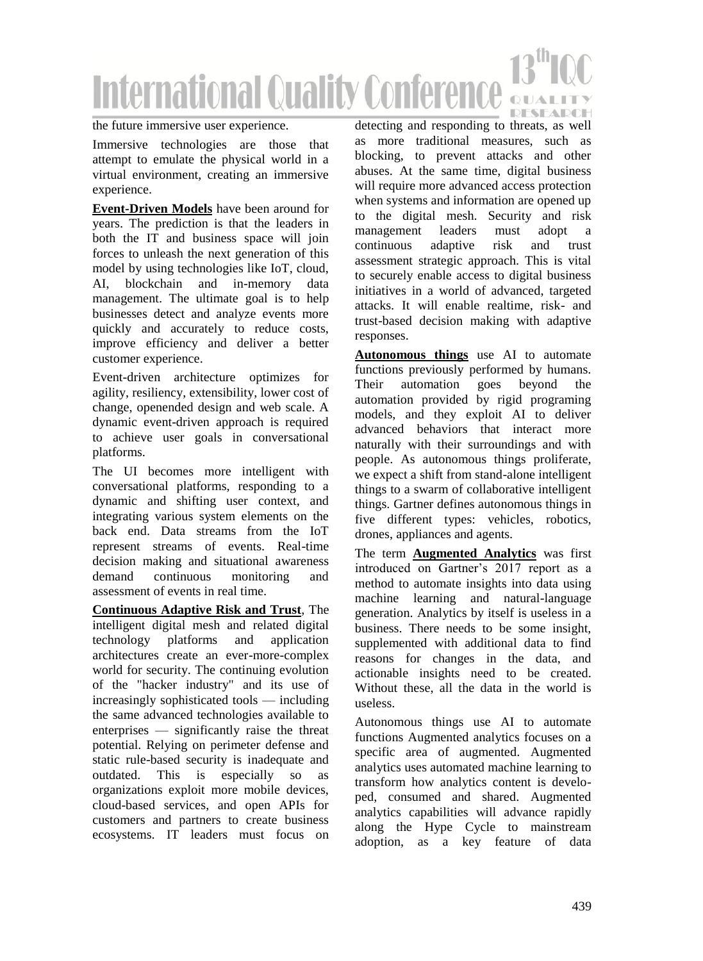# **International Quality Conferen OUALIT DESEADCH**

### the future immersive user experience.

Immersive technologies are those that attempt to emulate the physical world in a virtual environment, creating an immersive experience.

**Event-Driven Models** have been around for years. The prediction is that the leaders in both the IT and business space will join forces to unleash the next generation of this model by using technologies like IoT, cloud, AI, blockchain and in-memory data management. The ultimate goal is to help businesses detect and analyze events more quickly and accurately to reduce costs, improve efficiency and deliver a better customer experience.

Event-driven architecture optimizes for agility, resiliency, extensibility, lower cost of change, openended design and web scale. A dynamic event-driven approach is required to achieve user goals in conversational platforms.

The UI becomes more intelligent with conversational platforms, responding to a dynamic and shifting user context, and integrating various system elements on the back end. Data streams from the IoT represent streams of events. Real-time decision making and situational awareness demand continuous monitoring and assessment of events in real time.

**Continuous Adaptive Risk and Trust**, The intelligent digital mesh and related digital technology platforms and application architectures create an ever-more-complex world for security. The continuing evolution of the "hacker industry" and its use of increasingly sophisticated tools — including the same advanced technologies available to enterprises — significantly raise the threat potential. Relying on perimeter defense and static rule-based security is inadequate and outdated. This is especially so as organizations exploit more mobile devices, cloud-based services, and open APIs for customers and partners to create business ecosystems. IT leaders must focus on

detecting and responding to threats, as well as more traditional measures, such as blocking, to prevent attacks and other abuses. At the same time, digital business will require more advanced access protection when systems and information are opened up to the digital mesh. Security and risk management leaders must adopt a continuous adaptive risk and trust assessment strategic approach. This is vital to securely enable access to digital business initiatives in a world of advanced, targeted attacks. It will enable realtime, risk- and trust-based decision making with adaptive responses.

**Autonomous things** use AI to automate functions previously performed by humans. Their automation goes beyond the automation provided by rigid programing models, and they exploit AI to deliver advanced behaviors that interact more naturally with their surroundings and with people. As autonomous things proliferate, we expect a shift from stand-alone intelligent things to a swarm of collaborative intelligent things. Gartner defines autonomous things in five different types: vehicles, robotics, drones, appliances and agents.

The term **Augmented Analytics** was first introduced on Gartner's 2017 report as a method to automate insights into data using machine learning and natural-language generation. Analytics by itself is useless in a business. There needs to be some insight, supplemented with additional data to find reasons for changes in the data, and actionable insights need to be created. Without these, all the data in the world is useless.

Autonomous things use AI to automate functions Augmented analytics focuses on a specific area of augmented. Augmented analytics uses automated machine learning to transform how analytics content is developed, consumed and shared. Augmented analytics capabilities will advance rapidly along the Hype Cycle to mainstream adoption, as a key feature of data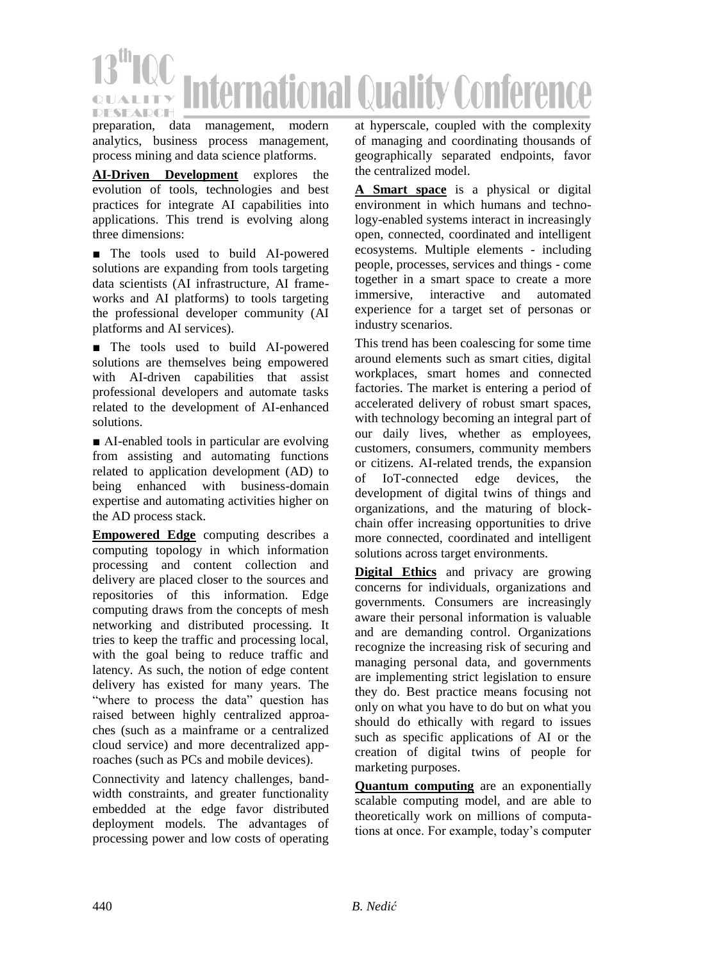

preparation, data management, modern analytics, business process management, process mining and data science platforms.

**AI-Driven Development** explores the evolution of tools, technologies and best practices for integrate AI capabilities into applications. This trend is evolving along three dimensions:

■ The tools used to build AI-powered solutions are expanding from tools targeting data scientists (AI infrastructure, AI frameworks and AI platforms) to tools targeting the professional developer community (AI platforms and AI services).

■ The tools used to build AI-powered solutions are themselves being empowered with AI-driven capabilities that assist professional developers and automate tasks related to the development of AI-enhanced solutions.

■ AI-enabled tools in particular are evolving from assisting and automating functions related to application development (AD) to being enhanced with business-domain expertise and automating activities higher on the AD process stack.

**Empowered Edge** computing describes a computing topology in which information processing and content collection and delivery are placed closer to the sources and repositories of this information. Edge computing draws from the concepts of mesh networking and distributed processing. It tries to keep the traffic and processing local, with the goal being to reduce traffic and latency. As such, the notion of edge content delivery has existed for many years. The "where to process the data" question has raised between highly centralized approaches (such as a mainframe or a centralized cloud service) and more decentralized approaches (such as PCs and mobile devices).

Connectivity and latency challenges, bandwidth constraints, and greater functionality embedded at the edge favor distributed deployment models. The advantages of processing power and low costs of operating

at hyperscale, coupled with the complexity of managing and coordinating thousands of geographically separated endpoints, favor the centralized model.

**A Smart space** is a physical or digital environment in which humans and technology-enabled systems interact in increasingly open, connected, coordinated and intelligent ecosystems. Multiple elements - including people, processes, services and things - come together in a smart space to create a more immersive, interactive and automated experience for a target set of personas or industry scenarios.

This trend has been coalescing for some time around elements such as smart cities, digital workplaces, smart homes and connected factories. The market is entering a period of accelerated delivery of robust smart spaces, with technology becoming an integral part of our daily lives, whether as employees, customers, consumers, community members or citizens. AI-related trends, the expansion of IoT-connected edge devices, the development of digital twins of things and organizations, and the maturing of blockchain offer increasing opportunities to drive more connected, coordinated and intelligent solutions across target environments.

**Digital Ethics** and privacy are growing concerns for individuals, organizations and governments. Consumers are increasingly aware their personal information is valuable and are demanding control. Organizations recognize the increasing risk of securing and managing personal data, and governments are implementing strict legislation to ensure they do. Best practice means focusing not only on what you have to do but on what you should do ethically with regard to issues such as specific applications of AI or the creation of digital twins of people for marketing purposes.

**Quantum computing** are an exponentially scalable computing model, and are able to theoretically work on millions of computations at once. For example, today's computer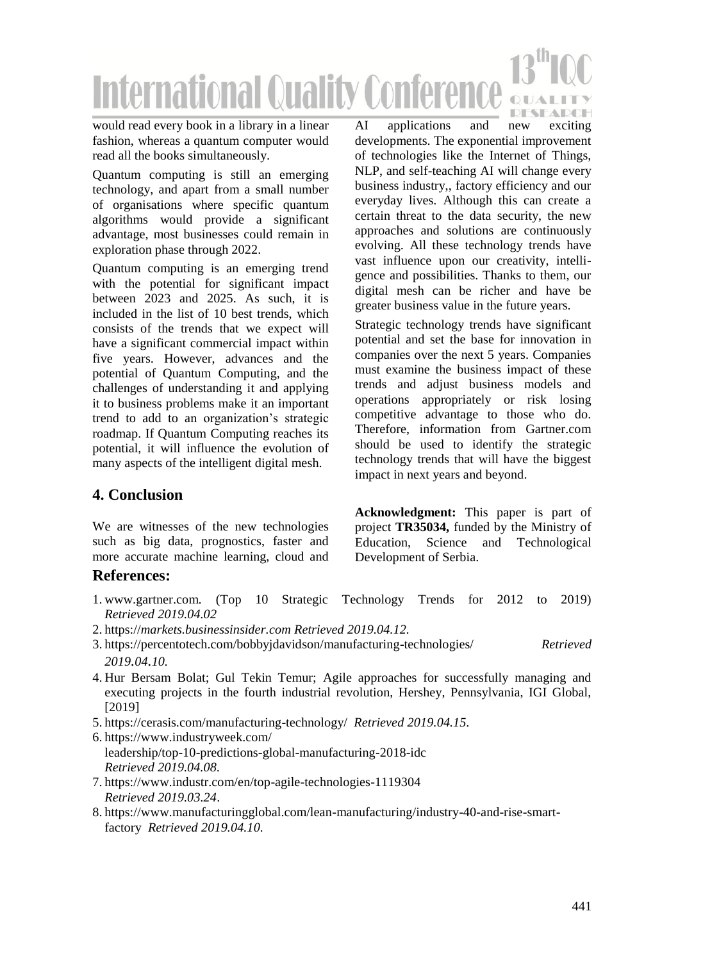

would read every book in a library in a linear fashion, whereas a quantum computer would read all the books simultaneously.

Quantum computing is still an emerging technology, and apart from a small number of organisations where specific quantum algorithms would provide a significant advantage, most businesses could remain in exploration phase through 2022.

Quantum computing is an emerging trend with the potential for significant impact between 2023 and 2025. As such, it is included in the list of 10 best trends, which consists of the trends that we expect will have a significant commercial impact within five years. However, advances and the potential of Quantum Computing, and the challenges of understanding it and applying it to business problems make it an important trend to add to an organization's strategic roadmap. If Quantum Computing reaches its potential, it will influence the evolution of many aspects of the intelligent digital mesh.

AI applications and new exciting developments. The exponential improvement of technologies like the Internet of Things, NLP, and self-teaching AI will change every business industry,, factory efficiency and our everyday lives. Although this can create a certain threat to the data security, the new approaches and solutions are continuously evolving. All these technology trends have vast influence upon our creativity, intelligence and possibilities. Thanks to them, our digital mesh can be richer and have be greater business value in the future years.

Strategic technology trends have significant potential and set the base for innovation in companies over the next 5 years. Companies must examine the business impact of these trends and adjust business models and operations appropriately or risk losing competitive advantage to those who do. Therefore, information from Gartner.com should be used to identify the strategic technology trends that will have the biggest impact in next years and beyond.

# **4. Conclusion**

We are witnesses of the new technologies such as big data, prognostics, faster and more accurate machine learning, cloud and

**Acknowledgment:** This paper is part of project **TR35034,** funded by the Ministry of Education, Science and Technological Development of Serbia.

### **References:**

- 1. www.gartner.com*.* (Top 10 Strategic Technology Trends for 2012 to 2019) *Retrieved 2019.04.02*
- 2. https://*markets.businessinsider.com Retrieved 2019.04.12.*
- 3. https://percentotech.com/bobbyjdavidson/manufacturing-technologies/ *Retrieved 2019.04.10.*
- 4. Hur Bersam Bolat; Gul Tekin Temur; Agile approaches for successfully managing and executing projects in the fourth industrial revolution, Hershey, Pennsylvania, IGI Global, [2019]
- 5. https://cerasis.com/manufacturing-technology/ *Retrieved 2019.04.15.*
- 6. https://www.industryweek.com/ leadership/top-10-predictions-global-manufacturing-2018-idc *Retrieved 2019.04.08.*
- 7. https://www.industr.com/en/top-agile-technologies-1119304 *Retrieved 2019.03.24*.
- 8. https://www.manufacturingglobal.com/lean-manufacturing/industry-40-and-rise-smartfactory *Retrieved 2019.04.10.*